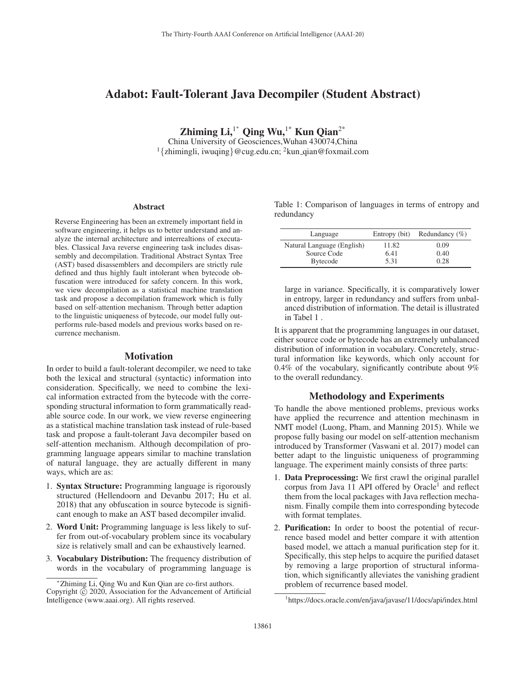# Adabot: Fault-Tolerant Java Decompiler (Student Abstract)

Zhiming Li,<sup>1\*</sup> Qing Wu,<sup>1\*</sup> Kun Qian<sup>2\*</sup>

China University of Geosciences,Wuhan 430074,China <sup>1</sup>{zhimingli, iwuqing}@cug.edu.cn; <sup>2</sup>kun\_qian@foxmail.com

#### Abstract

Reverse Engineering has been an extremely important field in software engineering, it helps us to better understand and analyze the internal architecture and interrealtions of executables. Classical Java reverse engineering task includes disassembly and decompilation. Traditional Abstract Syntax Tree (AST) based disassemblers and decompilers are strictly rule defined and thus highly fault intolerant when bytecode obfuscation were introduced for safety concern. In this work, we view decompilation as a statistical machine translation task and propose a decompilation framework which is fully based on self-attention mechanism. Through better adaption to the linguistic uniqueness of bytecode, our model fully outperforms rule-based models and previous works based on recurrence mechanism.

### **Motivation**

In order to build a fault-tolerant decompiler, we need to take both the lexical and structural (syntactic) information into consideration. Specifically, we need to combine the lexical information extracted from the bytecode with the corresponding structural information to form grammatically readable source code. In our work, we view reverse engineering as a statistical machine translation task instead of rule-based task and propose a fault-tolerant Java decompiler based on self-attention mechanism. Although decompilation of programming language appears similar to machine translation of natural language, they are actually different in many ways, which are as:

- 1. Syntax Structure: Programming language is rigorously structured (Hellendoorn and Devanbu 2017; Hu et al. 2018) that any obfuscation in source bytecode is significant enough to make an AST based decompiler invalid.
- 2. Word Unit: Programming language is less likely to suffer from out-of-vocabulary problem since its vocabulary size is relatively small and can be exhaustively learned.
- 3. Vocabulary Distribution: The frequency distribution of words in the vocabulary of programming language is

Table 1: Comparison of languages in terms of entropy and redundancy

| Language                   | Entropy (bit) | Redundancy $(\% )$ |
|----------------------------|---------------|--------------------|
| Natural Language (English) | 11.82         | 0.09               |
| Source Code                | 6.41          | 0.40               |
| <b>Bytecode</b>            | 5.31          | 0.28               |

large in variance. Specifically, it is comparatively lower in entropy, larger in redundancy and suffers from unbalanced distribution of information. The detail is illustrated in Tabel 1 .

It is apparent that the programming languages in our dataset, either source code or bytecode has an extremely unbalanced distribution of information in vocabulary. Concretely, structural information like keywords, which only account for 0.4% of the vocabulary, significantly contribute about 9% to the overall redundancy.

## Methodology and Experiments

To handle the above mentioned problems, previous works have applied the recurrence and attention mechinasm in NMT model (Luong, Pham, and Manning 2015). While we propose fully basing our model on self-attention mechanism introduced by Transformer (Vaswani et al. 2017) model can better adapt to the linguistic uniqueness of programming language. The experiment mainly consists of three parts:

- 1. Data Preprocessing: We first crawl the original parallel corpus from Java 11 API offered by  $Oracle<sup>1</sup>$  and reflect them from the local packages with Java reflection mechanism. Finally compile them into corresponding bytecode with format templates.
- 2. Purification: In order to boost the potential of recurrence based model and better compare it with attention based model, we attach a manual purification step for it. Specifically, this step helps to acquire the purified dataset by removing a large proportion of structural information, which significantly alleviates the vanishing gradient problem of recurrence based model.

<sup>∗</sup>Zhiming Li, Qing Wu and Kun Qian are co-first authors. Copyright  $\odot$  2020, Association for the Advancement of Artificial Intelligence (www.aaai.org). All rights reserved.

<sup>&</sup>lt;sup>1</sup>https://docs.oracle.com/en/java/javase/11/docs/api/index.html